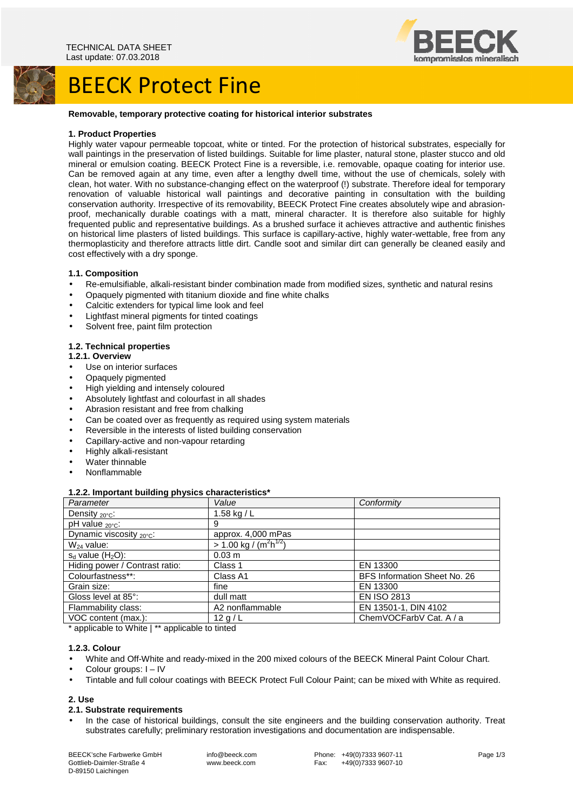

## BEECK Protect Fine

#### **Removable, temporary protective coating for historical interior substrates**

#### **1. Product Properties**

Highly water vapour permeable topcoat, white or tinted. For the protection of historical substrates, especially for wall paintings in the preservation of listed buildings. Suitable for lime plaster, natural stone, plaster stucco and old mineral or emulsion coating. BEECK Protect Fine is a reversible, i.e. removable, opaque coating for interior use. Can be removed again at any time, even after a lengthy dwell time, without the use of chemicals, solely with clean, hot water. With no substance-changing effect on the waterproof (!) substrate. Therefore ideal for temporary renovation of valuable historical wall paintings and decorative painting in consultation with the building conservation authority. Irrespective of its removability, BEECK Protect Fine creates absolutely wipe and abrasionproof, mechanically durable coatings with a matt, mineral character. It is therefore also suitable for highly frequented public and representative buildings. As a brushed surface it achieves attractive and authentic finishes on historical lime plasters of listed buildings. This surface is capillary-active, highly water-wettable, free from any thermoplasticity and therefore attracts little dirt. Candle soot and similar dirt can generally be cleaned easily and cost effectively with a dry sponge.

### **1.1. Composition**

- Re-emulsifiable, alkali-resistant binder combination made from modified sizes, synthetic and natural resins
- Opaquely pigmented with titanium dioxide and fine white chalks
- Calcitic extenders for typical lime look and feel
- Lightfast mineral pigments for tinted coatings
- Solvent free, paint film protection

#### **1.2. Technical properties**

#### **1.2.1. Overview**

- Use on interior surfaces
- Opaquely pigmented
- High yielding and intensely coloured
- Absolutely lightfast and colourfast in all shades
- Abrasion resistant and free from chalking
- Can be coated over as frequently as required using system materials
- Reversible in the interests of listed building conservation
- Capillary-active and non-vapour retarding
- Highly alkali-resistant
- Water thinnable
- Nonflammable

## **1.2.2. Important building physics characteristics\***

| . .<br>Parameter               | Value                                             | Conformity                   |
|--------------------------------|---------------------------------------------------|------------------------------|
| Density 20°C:                  | 1.58 kg / $L$                                     |                              |
| pH value $_{20^{\circ}C}$ :    | 9                                                 |                              |
| Dynamic viscosity 20°C:        | approx. 4,000 mPas                                |                              |
| $W_{24}$ value:                | $> 1.00 \text{ kg} / (\text{m}^2 \text{h}^{1/2})$ |                              |
| $s_d$ value $(H_2O)$ :         | 0.03 m                                            |                              |
| Hiding power / Contrast ratio: | Class 1                                           | EN 13300                     |
| Colourfastness**:              | Class A1                                          | BFS Information Sheet No. 26 |
| Grain size:                    | fine                                              | EN 13300                     |
| Gloss level at 85°:            | dull matt                                         | <b>EN ISO 2813</b>           |
| Flammability class:            | A2 nonflammable                                   | EN 13501-1, DIN 4102         |
| VOC content (max.):            | 12 g / L                                          | ChemVOCFarbV Cat. A / a      |

\* applicable to White | \*\* applicable to tinted

## **1.2.3. Colour**

- White and Off-White and ready-mixed in the 200 mixed colours of the BEECK Mineral Paint Colour Chart.
- Colour groups: I IV
- Tintable and full colour coatings with BEECK Protect Full Colour Paint; can be mixed with White as required.

#### **2. Use**

#### **2.1. Substrate requirements**

• In the case of historical buildings, consult the site engineers and the building conservation authority. Treat substrates carefully; preliminary restoration investigations and documentation are indispensable.

BEECK'sche Farbwerke GmbH Gottlieb-Daimler-Straße 4 D-89150 Laichingen

 info@beeck.com www.beeck.com

Phone: +49(0)7333 9607-11<br>Fax: +49(0)7333 9607-10 +49(0)7333 9607-10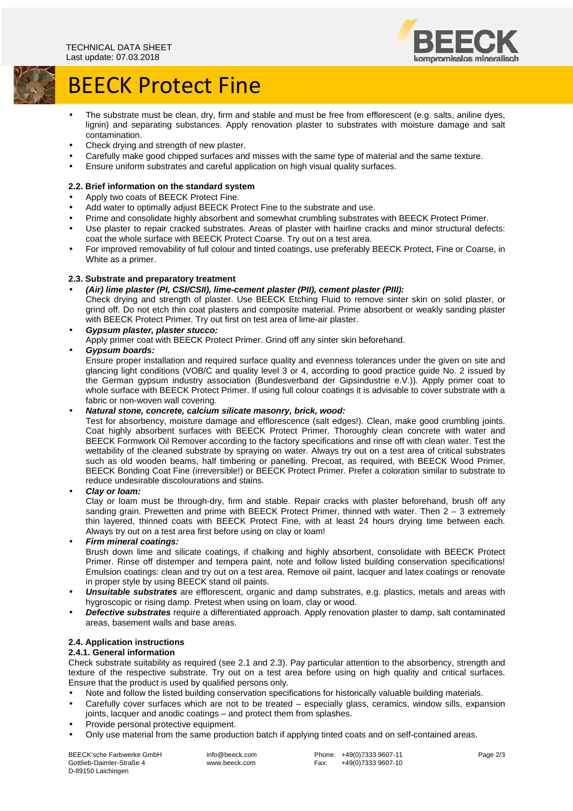

# BEECK Protect Fine

- The substrate must be clean, dry, firm and stable and must be free from efflorescent (e.g. salts, aniline dyes, lignin) and separating substances. Apply renovation plaster to substrates with moisture damage and salt contamination.
- Check drying and strength of new plaster.
- Carefully make good chipped surfaces and misses with the same type of material and the same texture.
- Ensure uniform substrates and careful application on high visual quality surfaces.

## **2.2. Brief information on the standard system**

- Apply two coats of BEECK Protect Fine.
- Add water to optimally adjust BEECK Protect Fine to the substrate and use.
- Prime and consolidate highly absorbent and somewhat crumbling substrates with BEECK Protect Primer.
- Use plaster to repair cracked substrates. Areas of plaster with hairline cracks and minor structural defects: coat the whole surface with BEECK Protect Coarse. Try out on a test area.
- For improved removability of full colour and tinted coatings, use preferably BEECK Protect, Fine or Coarse, in White as a primer.

## **2.3. Substrate and preparatory treatment**

• **(Air) lime plaster (PI, CSI/CSII), lime-cement plaster (PII), cement plaster (PIII):** 

Check drying and strength of plaster. Use BEECK Etching Fluid to remove sinter skin on solid plaster, or grind off. Do not etch thin coat plasters and composite material. Prime absorbent or weakly sanding plaster with BEECK Protect Primer. Try out first on test area of lime-air plaster.

• **Gypsum plaster, plaster stucco:**  Apply primer coat with BEECK Protect Primer. Grind off any sinter skin beforehand.

## • **Gypsum boards:**

Ensure proper installation and required surface quality and evenness tolerances under the given on site and glancing light conditions (VOB/C and quality level 3 or 4, according to good practice guide No. 2 issued by the German gypsum industry association (Bundesverband der Gipsindustrie e.V.)). Apply primer coat to whole surface with BEECK Protect Primer. If using full colour coatings it is advisable to cover substrate with a fabric or non-woven wall covering.

## • **Natural stone, concrete, calcium silicate masonry, brick, wood:**

Test for absorbency, moisture damage and efflorescence (salt edges!). Clean, make good crumbling joints. Coat highly absorbent surfaces with BEECK Protect Primer. Thoroughly clean concrete with water and BEECK Formwork Oil Remover according to the factory specifications and rinse off with clean water. Test the wettability of the cleaned substrate by spraying on water. Always try out on a test area of critical substrates such as old wooden beams, half timbering or panelling. Precoat, as required, with BEECK Wood Primer, BEECK Bonding Coat Fine (irreversible!) or BEECK Protect Primer. Prefer a coloration similar to substrate to reduce undesirable discolourations and stains.

## • **Clay or loam:**

Clay or loam must be through-dry, firm and stable. Repair cracks with plaster beforehand, brush off any sanding grain. Prewetten and prime with BEECK Protect Primer, thinned with water. Then 2 - 3 extremely thin layered, thinned coats with BEECK Protect Fine, with at least 24 hours drying time between each. Always try out on a test area first before using on clay or loam!

## • **Firm mineral coatings:**

Brush down lime and silicate coatings, if chalking and highly absorbent, consolidate with BEECK Protect Primer. Rinse off distemper and tempera paint, note and follow listed building conservation specifications! Emulsion coatings: clean and try out on a test area. Remove oil paint, lacquer and latex coatings or renovate in proper style by using BEECK stand oil paints.

- **Unsuitable substrates** are efflorescent, organic and damp substrates, e.g. plastics, metals and areas with hygroscopic or rising damp. Pretest when using on loam, clay or wood.
- **Defective substrates** require a differentiated approach. Apply renovation plaster to damp, salt contaminated areas, basement walls and base areas.

## **2.4. Application instructions**

## **2.4.1. General information**

Check substrate suitability as required (see 2.1 and 2.3). Pay particular attention to the absorbency, strength and texture of the respective substrate. Try out on a test area before using on high quality and critical surfaces. Ensure that the product is used by qualified persons only.

- Note and follow the listed building conservation specifications for historically valuable building materials.
- Carefully cover surfaces which are not to be treated especially glass, ceramics, window sills, expansion joints, lacquer and anodic coatings – and protect them from splashes.
- Provide personal protective equipment.
- Only use material from the same production batch if applying tinted coats and on self-contained areas.

BEECK'sche Farbwerke GmbH Gottlieb-Daimler-Straße 4 D-89150 Laichingen

 info@beeck.com www.beeck.com

 Phone: +49(0)7333 9607-11 Fax: +49(0)7333 9607-10